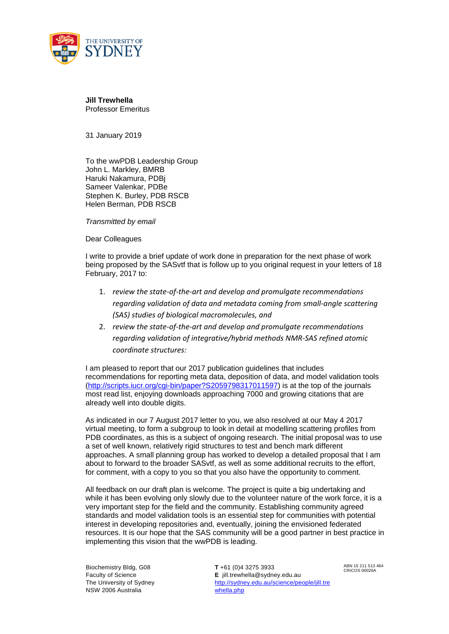

**Jill Trewhella**  Professor Emeritus

31 January 2019

To the wwPDB Leadership Group John L. Markley, BMRB Haruki Nakamura, PDBj Sameer Valenkar, PDBe Stephen K. Burley, PDB RSCB Helen Berman, PDB RSCB

*Transmitted by email* 

Dear Colleagues

I write to provide a brief update of work done in preparation for the next phase of work being proposed by the SASvtf that is follow up to you original request in your letters of 18 February, 2017 to:

- 1. *review the state‐of‐the‐art and develop and promulgate recommendations regarding validation of data and metadata coming from small‐angle scattering (SAS) studies of biological macromolecules, and*
- 2. *review the state‐of‐the‐art and develop and promulgate recommendations regarding validation of integrative/hybrid methods NMR‐SAS refined atomic coordinate structures:*

I am pleased to report that our 2017 publication guidelines that includes recommendations for reporting meta data, deposition of data, and model validation tools (http://scripts.iucr.org/cgi-bin/paper?S2059798317011597) is at the top of the journals most read list, enjoying downloads approaching 7000 and growing citations that are already well into double digits.

As indicated in our 7 August 2017 letter to you, we also resolved at our May 4 2017 virtual meeting, to form a subgroup to look in detail at modelling scattering profiles from PDB coordinates, as this is a subject of ongoing research. The initial proposal was to use a set of well known, relatively rigid structures to test and bench mark different approaches. A small planning group has worked to develop a detailed proposal that I am about to forward to the broader SASvtf, as well as some additional recruits to the effort, for comment, with a copy to you so that you also have the opportunity to comment.

All feedback on our draft plan is welcome. The project is quite a big undertaking and while it has been evolving only slowly due to the volunteer nature of the work force, it is a very important step for the field and the community. Establishing community agreed standards and model validation tools is an essential step for communities with potential interest in developing repositories and, eventually, joining the envisioned federated resources. It is our hope that the SAS community will be a good partner in best practice in implementing this vision that the wwPDB is leading.

Biochemistry Bldg, G08 Faculty of Science The University of Sydney NSW 2006 Australia

 **T** +61 (0)4 3275 3933 **E** jill.trewhella@sydney.edu.au http://sydney.edu.au/science/people/jill.tre whella.php

ABN 15 211 513 464 CRICOS 00026A